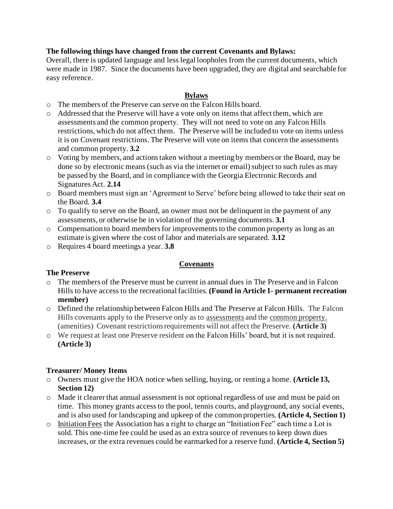## **The following things have changed from the current Covenants and Bylaws:**

Overall, there is updated language and less legal loopholes from the current documents, which were made in 1987. Since the documents have been upgraded, they are digital and searchable for easy reference.

# **Bylaws**

- o The members of the Preserve can serve on the Falcon Hills board.
- o Addressed that the Preserve will have a vote only on items that affect them, which are assessments and the common property. They will not need to vote on any Falcon Hills restrictions, which do not affect them. The Preserve will be included to vote on items unless it is on Covenant restrictions. The Preserve will vote on items that concern the assessments and common property. **3.2**
- o Voting by members, and actions taken without a meeting by members or the Board, may be done so by electronic means (such as via the internet or email) subject to such rules as may be passed by the Board, and in compliance with the Georgia Electronic Records and Signatures Act. **2.14**
- o Board members must sign an 'Agreement to Serve' before being allowed to take their seat on the Board. **3.4**
- o To qualify to serve on the Board, an owner must not be delinquent in the payment of any assessments, or otherwise be in violation of the governing documents. **3.1**
- o Compensation to board members for improvementsto the common property as long as an estimate is given where the cost of labor and materials are separated. **3.12**
- o Requires 4 board meetings a year. **3.8**

## **Covenants**

## **The Preserve**

- o The members of the Preserve must be current in annual dues in The Preserve and in Falcon Hills to have access to the recreational facilities. **(Found in Article I- permanent recreation member)**
- o Defined the relationship between Falcon Hills and The Preserve at Falcon Hills. The Falcon Hills covenants apply to the Preserve only as to assessments and the common property. (amenities) Covenant restrictions requirements will not affect the Preserve. **(Article 3)**
- o We request at least one Preserve resident on the Falcon Hills' board, but it is not required. **(Article 3)**

## **Treasurer/ Money Items**

- o Owners must give the HOA notice when selling, buying, or renting a home. **(Article 13, Section 12)**
- o Made it clearer that annual assessment is not optional regardless of use and must be paid on time. This money grants access to the pool, tennis courts, and playground, any social events, and is also used for landscaping and upkeep of the common properties. **(Article 4, Section 1)**
- o Initiation Fees the Association has a right to charge an "Initiation Fee" each time a Lot is sold. This one-time fee could be used as an extra source of revenues to keep down dues increases, or the extra revenues could be earmarked for a reserve fund. **(Article 4, Section 5)**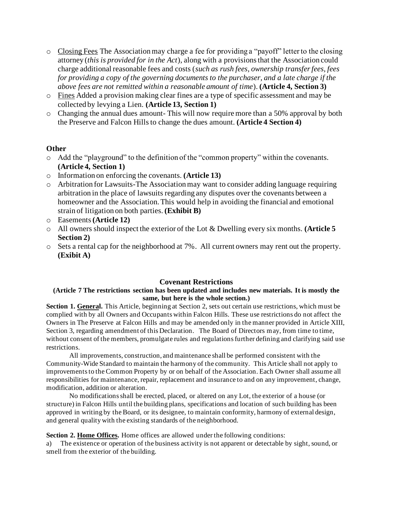- o Closing Fees The Association may charge a fee for providing a "payoff" letter to the closing attorney (*this is provided for in the Act*), along with a provisions that the Association could charge additional reasonable fees and costs (*such as rush fees, ownership transfer fees, fees for providing a copy of the governing documents to the purchaser, and a late charge if the above fees are not remitted within a reasonable amount of time*). **(Article 4, Section 3)**
- o Fines Added a provision making clear fines are a type of specific assessment and may be collected by levying a Lien. **(Article 13, Section 1)**
- o Changing the annual dues amount- This will now require more than a 50% approval by both the Preserve and Falcon Hills to change the dues amount. **(Article 4 Section 4)**

### **Other**

- o Add the "playground" to the definition of the "common property" within the covenants. **(Article 4, Section 1)**
- o Information on enforcing the covenants. **(Article 13)**
- o Arbitration for Lawsuits-The Association may want to consider adding language requiring arbitration in the place of lawsuits regarding any disputes over the covenants between a homeowner and the Association. This would help in avoiding the financial and emotional strain of litigation on both parties. **(Exhibit B)**
- o Easements **(Article 12)**
- o All owners should inspect the exterior of the Lot & Dwelling every six months. **(Article 5 Section 2)**
- o Sets a rental cap for the neighborhood at 7%. All current owners may rent out the property. **(Exibit A)**

### **Covenant Restrictions**

#### **(Article 7 The restrictions section has been updated and includes new materials. It is mostly the same, but here is the whole section.)**

**Section 1. General.** This Article, beginning at Section 2, sets out certain use restrictions, which must be complied with by all Owners and Occupants within Falcon Hills. These use restrictions do not affect the Owners in The Preserve at Falcon Hills and may be amended only in the manner provided in Article XIII, Section 3, regarding amendment of this Declaration. The Board of Directors may, from time to time, without consent of the members, promulgate rules and regulations further defining and clarifying said use restrictions.

All improvements, construction, and maintenance shall be performed consistent with the Community-Wide Standard to maintain the harmony of the community. This Article shall not apply to improvements to the Common Property by or on behalf of the Association. Each Owner shall assume all responsibilities for maintenance, repair, replacement and insurance to and on any improvement, change, modification, addition or alteration.

No modifications shall be erected, placed, or altered on any Lot, the exterior of a house (or structure) in Falcon Hills until the building plans, specifications and location of such building has been approved in writing by the Board, or its designee, to maintain conformity, harmony of external design, and general quality with the existing standards of the neighborhood.

### **Section 2. Home Offices.** Home offices are allowed under the following conditions:

a) The existence or operation of the business activity is not apparent or detectable by sight, sound, or smell from the exterior of the building.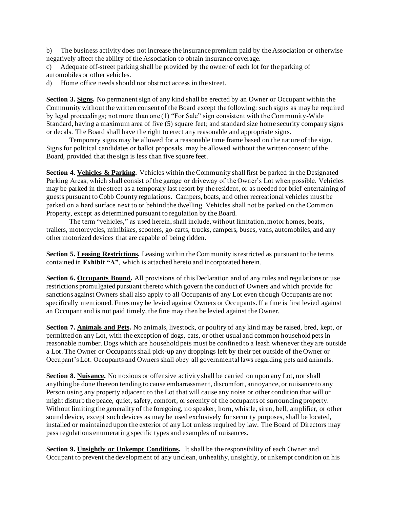b) The business activity does not increase the insurance premium paid by the Association or otherwise negatively affect the ability of the Association to obtain insurance coverage.

c) Adequate off-street parking shall be provided by the owner of each lot for the parking of automobiles or other vehicles.

d) Home office needs should not obstruct access in the street.

**Section 3. Signs.** No permanent sign of any kind shall be erected by an Owner or Occupant within the Community without the written consent of the Board except the following: such signs as may be required by legal proceedings; not more than one (1) "For Sale" sign consistent with the Community-Wide Standard, having a maximum area of five (5) square feet; and standard size home security company signs or decals. The Board shall have the right to erect any reasonable and appropriate signs.

Temporary signs may be allowed for a reasonable time frame based on the nature of the sign. Signs for political candidates or ballot proposals, may be allowed without the written consent of the Board, provided that the sign is less than five square feet.

**Section 4. Vehicles & Parking.** Vehicles within the Community shall first be parked in the Designated Parking Areas, which shall consist of the garage or driveway of the Owner's Lot when possible. Vehicles may be parked in the street as a temporary last resort by the resident, or as needed for brief entertaining of guests pursuant to Cobb County regulations. Campers, boats, and other recreational vehicles must be parked on a hard surface next to or behind the dwelling. Vehicles shall not be parked on the Common Property, except as determined pursuant to regulation by the Board.

The term "vehicles," as used herein, shall include, without limitation, motor homes, boats, trailers, motorcycles, minibikes, scooters, go-carts, trucks, campers, buses, vans, automobiles, and any other motorized devices that are capable of being ridden.

**Section 5. Leasing Restrictions.** Leasing within the Community is restricted as pursuant to the terms contained in **Exhibit "A"**, which is attached hereto and incorporated herein.

**Section 6. Occupants Bound.** All provisions of this Declaration and of any rules and regulations or use restrictions promulgated pursuant thereto which govern the conduct of Owners and which provide for sanctions against Owners shall also apply to all Occupants of any Lot even though Occupants are not specifically mentioned. Fines may be levied against Owners or Occupants. If a fine is first levied against an Occupant and is not paid timely, the fine may then be levied against the Owner.

**Section 7. Animals and Pets.** No animals, livestock, or poultry of any kind may be raised, bred, kept, or permitted on any Lot, with the exception of dogs, cats, or other usual and common household pets in reasonable number. Dogs which are household pets must be confined to a leash whenever they are outside a Lot. The Owner or Occupants shall pick-up any droppings left by their pet outside of the Owner or Occupant's Lot. Occupants and Owners shall obey all governmental laws regarding pets and animals.

**Section 8. Nuisance.** No noxious or offensive activity shall be carried on upon any Lot, nor shall anything be done thereon tending to cause embarrassment, discomfort, annoyance, or nuisance to any Person using any property adjacent to the Lot that will cause any noise or other condition that will or might disturb the peace, quiet, safety, comfort, or serenity of the occupants of surrounding property. Without limiting the generality of the foregoing, no speaker, horn, whistle, siren, bell, amplifier, or other sound device, except such devices as may be used exclusively for security purposes, shall be located, installed or maintained upon the exterior of any Lot unless required by law. The Board of Directors may pass regulations enumerating specific types and examples of nuisances.

**Section 9. Unsightly or Unkempt Conditions.** It shall be the responsibility of each Owner and Occupant to prevent the development of any unclean, unhealthy, unsightly, or unkempt condition on his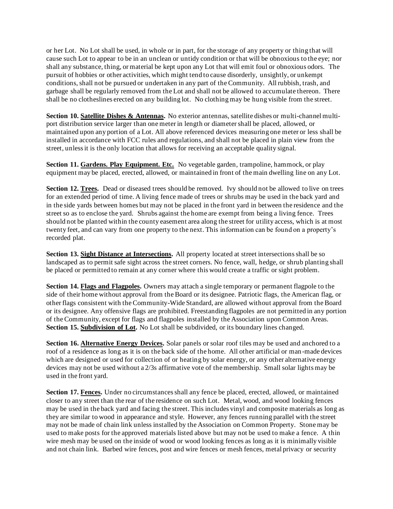or her Lot. No Lot shall be used, in whole or in part, for the storage of any property or thing that will cause such Lot to appear to be in an unclean or untidy condition or that will be obnoxious to the eye; nor shall any substance, thing, or material be kept upon any Lot that will emit foul or obnoxious odors. The pursuit of hobbies or other activities, which might tend to cause disorderly, unsightly, or unkempt conditions, shall not be pursued or undertaken in any part of the Community. All rubbish, trash, and garbage shall be regularly removed from the Lot and shall not be allowed to accumulate thereon. There shall be no clotheslines erected on any building lot. No clothing may be hung visible from the street.

**Section 10. Satellite Dishes & Antennas.** No exterior antennas, satellite dishes or multi-channel multiport distribution service larger than one meter in length or diameter shall be placed, allowed, or maintained upon any portion of a Lot. All above referenced devices measuring one meter or less shall be installed in accordance with FCC rules and regulations, and shall not be placed in plain view from the street, unless it is the only location that allows for receiving an acceptable quality signal.

**Section 11. Gardens. Play Equipment. Etc.** No vegetable garden, trampoline, hammock, or play equipment may be placed, erected, allowed, or maintained in front of the main dwelling line on any Lot.

**Section 12. Trees.** Dead or diseased trees should be removed. Ivy should not be allowed to live on trees for an extended period of time. A living fence made of trees or shrubs may be used in the back yard and in the side yards between homes but may not be placed in the front yard in between the residence and the street so as to enclose the yard. Shrubs against the home are exempt from being a living fence. Trees should not be planted within the county easement area along the street for utility access, which is at most twenty feet, and can vary from one property to the next. This information can be found on a property's recorded plat.

**Section 13. Sight Distance at Intersections.** All property located at street intersections shall be so landscaped as to permit safe sight across the street corners. No fence, wall, hedge, or shrub planting shall be placed or permitted to remain at any corner where this would create a traffic or sight problem.

**Section 14. Flags and Flagpoles.** Owners may attach a single temporary or permanent flagpole to the side of their home without approval from the Board or its designee. Patriotic flags, the American flag, or other flags consistent with the Community-Wide Standard, are allowed without approval from the Board or its designee. Any offensive flags are prohibited. Freestanding flagpoles are not permitted in any portion of the Community, except for flags and flagpoles installed by the Association upon Common Areas. **Section 15. Subdivision of Lot.** No Lot shall be subdivided, or its boundary lines changed.

**Section 16. Alternative Energy Devices.** Solar panels or solar roof tiles may be used and anchored to a roof of a residence as long as it is on the back side of the home. All other artificial or man-made devices which are designed or used for collection of or heating by solar energy, or any other alternative energy devices may not be used without a 2/3s affirmative vote of the membership. Small solar lights may be used in the front yard.

**Section 17. Fences.** Under no circumstances shall any fence be placed, erected, allowed, or maintained closer to any street than the rear of the residence on such Lot. Metal, wood, and wood looking fences may be used in the back yard and facing the street. This includes vinyl and composite materials as long as they are similar to wood in appearance and style. However, any fences running parallel with the street may not be made of chain link unless installed by the Association on Common Property. Stone may be used to make posts for the approved materials listed above but may not be used to make a fence. A thin wire mesh may be used on the inside of wood or wood looking fences as long as it is minimally visible and not chain link. Barbed wire fences, post and wire fences or mesh fences, metal privacy or security